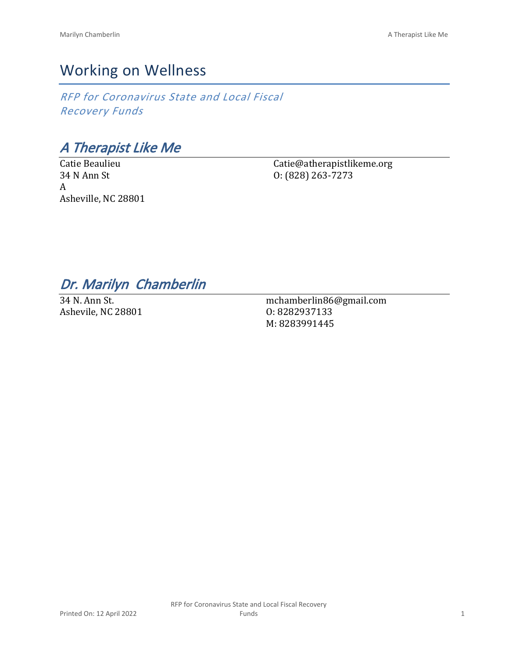# Working on Wellness

*RFP for Coronavirus State and Local Fiscal Recovery Funds*

*A Therapist Like Me*

Catie Beaulieu 34 N Ann St A Asheville, NC 28801

Catie@atherapistlikeme.org O: (828) 263-7273

## *Dr. Marilyn Chamberlin*

34 N. Ann St. Ashevile, NC 28801

mchamberlin86@gmail.com O: 8282937133 M: 8283991445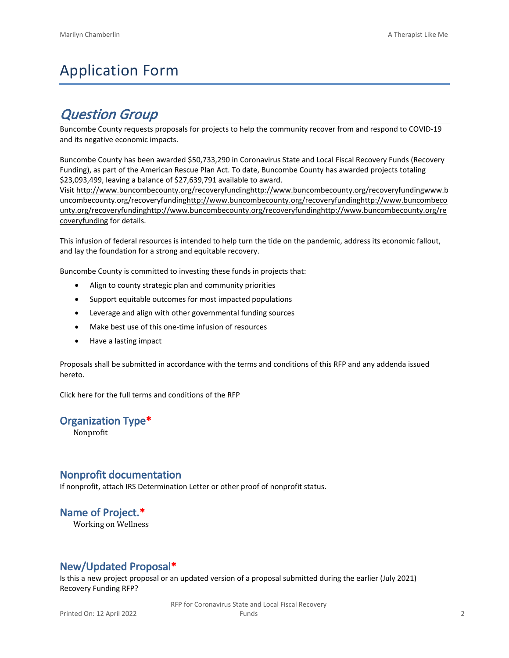# Application Form

## *Question Group*

Buncombe County requests proposals for projects to help the community recover from and respond to COVID-19 and its negative economic impacts.

Buncombe County has been awarded \$50,733,290 in Coronavirus State and Local Fiscal Recovery Funds (Recovery Funding), as part of the American Rescue Plan Act. To date, Buncombe County has awarded projects totaling \$23,093,499, leaving a balance of \$27,639,791 available to award.

Visit [http://www.buncombecounty.org/recoveryfundinghttp://www.buncombecounty.org/recoveryfundingwww.b](http://www.buncombecounty.org/recoveryfunding) [uncombecounty.org/recoveryfundinghttp://www.buncombecounty.org/recoveryfundinghttp://www.buncombeco](http://www.buncombecounty.org/recoveryfunding) [unty.org/recoveryfundinghttp://www.buncombecounty.org/recoveryfundinghttp://www.buncombecounty.org/re](http://www.buncombecounty.org/recoveryfunding) [coveryfunding](http://www.buncombecounty.org/recoveryfunding) for details.

This infusion of federal resources is intended to help turn the tide on the pandemic, address its economic fallout, and lay the foundation for a strong and equitable recovery.

Buncombe County is committed to investing these funds in projects that:

- Align to county strategic plan and community priorities
- Support equitable outcomes for most impacted populations
- Leverage and align with other governmental funding sources
- Make best use of this one-time infusion of resources
- Have a lasting impact

Proposals shall be submitted in accordance with the terms and conditions of this RFP and any addenda issued hereto.

Click [here](https://www.buncombecounty.org/common/purchasing/Buncombe%20Recovery%20Funding%20RFP%202022.pdf) for the full terms and conditions of the RFP

#### **Organization Type\***

Nonprofit

#### **Nonprofit documentation**

If nonprofit, attach IRS Determination Letter or other proof of nonprofit status.

### **Name of Project.\***

Working on Wellness

### **New/Updated Proposal\***

Is this a new project proposal or an updated version of a proposal submitted during the earlier (July 2021) Recovery Funding RFP?

> RFP for Coronavirus State and Local Fiscal Recovery Funds 2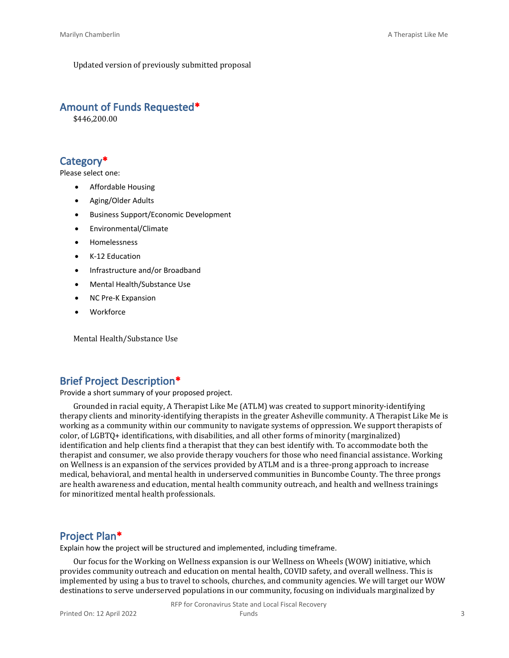Updated version of previously submitted proposal

#### **Amount of Funds Requested\***

\$446,200.00

#### **Category\***

Please select one:

- Affordable Housing
- Aging/Older Adults
- Business Support/Economic Development
- Environmental/Climate
- Homelessness
- K-12 Education
- Infrastructure and/or Broadband
- Mental Health/Substance Use
- NC Pre-K Expansion
- **Workforce**

Mental Health/Substance Use

### **Brief Project Description\***

Provide a short summary of your proposed project.

Grounded in racial equity, A Therapist Like Me (ATLM) was created to support minority-identifying therapy clients and minority-identifying therapists in the greater Asheville community. A Therapist Like Me is working as a community within our community to navigate systems of oppression. We support therapists of color, of LGBTQ+ identifications, with disabilities, and all other forms of minority (marginalized) identification and help clients find a therapist that they can best identify with. To accommodate both the therapist and consumer, we also provide therapy vouchers for those who need financial assistance. Working on Wellness is an expansion of the services provided by ATLM and is a three-prong approach to increase medical, behavioral, and mental health in underserved communities in Buncombe County. The three prongs are health awareness and education, mental health community outreach, and health and wellness trainings for minoritized mental health professionals.

#### **Project Plan\***

Explain how the project will be structured and implemented, including timeframe.

Our focus for the Working on Wellness expansion is our Wellness on Wheels (WOW) initiative, which provides community outreach and education on mental health, COVID safety, and overall wellness. This is implemented by using a bus to travel to schools, churches, and community agencies. We will target our WOW destinations to serve underserved populations in our community, focusing on individuals marginalized by

RFP for Coronavirus State and Local Fiscal Recovery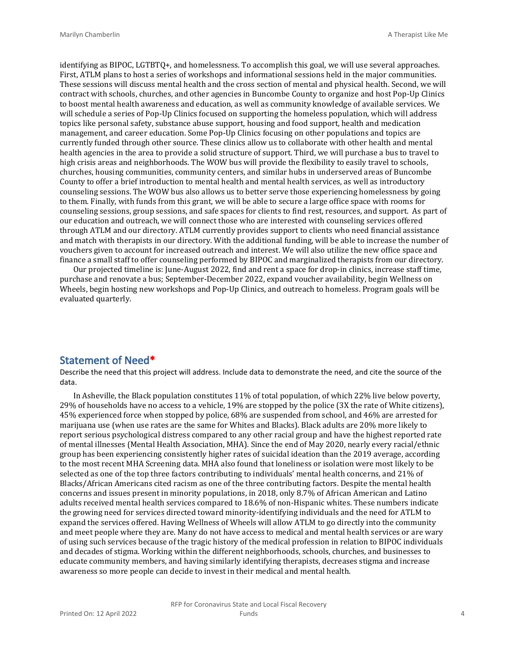identifying as BIPOC, LGTBTQ+, and homelessness. To accomplish this goal, we will use several approaches. First, ATLM plans to host a series of workshops and informational sessions held in the major communities. These sessions will discuss mental health and the cross section of mental and physical health. Second, we will contract with schools, churches, and other agencies in Buncombe County to organize and host Pop-Up Clinics to boost mental health awareness and education, as well as community knowledge of available services. We will schedule a series of Pop-Up Clinics focused on supporting the homeless population, which will address topics like personal safety, substance abuse support, housing and food support, health and medication management, and career education. Some Pop-Up Clinics focusing on other populations and topics are currently funded through other source. These clinics allow us to collaborate with other health and mental health agencies in the area to provide a solid structure of support. Third, we will purchase a bus to travel to high crisis areas and neighborhoods. The WOW bus will provide the flexibility to easily travel to schools, churches, housing communities, community centers, and similar hubs in underserved areas of Buncombe County to offer a brief introduction to mental health and mental health services, as well as introductory counseling sessions. The WOW bus also allows us to better serve those experiencing homelessness by going to them. Finally, with funds from this grant, we will be able to secure a large office space with rooms for counseling sessions, group sessions, and safe spaces for clients to find rest, resources, and support. As part of our education and outreach, we will connect those who are interested with counseling services offered through ATLM and our directory. ATLM currently provides support to clients who need financial assistance and match with therapists in our directory. With the additional funding, will be able to increase the number of vouchers given to account for increased outreach and interest. We will also utilize the new office space and finance a small staff to offer counseling performed by BIPOC and marginalized therapists from our directory.

Our projected timeline is: June-August 2022, find and rent a space for drop-in clinics, increase staff time, purchase and renovate a bus; September-December 2022, expand voucher availability, begin Wellness on Wheels, begin hosting new workshops and Pop-Up Clinics, and outreach to homeless. Program goals will be evaluated quarterly.

#### **Statement of Need\***

Describe the need that this project will address. Include data to demonstrate the need, and cite the source of the data.

In Asheville, the Black population constitutes 11% of total population, of which 22% live below poverty, 29% of households have no access to a vehicle, 19% are stopped by the police (3X the rate of White citizens), 45% experienced force when stopped by police, 68% are suspended from school, and 46% are arrested for marijuana use (when use rates are the same for Whites and Blacks). Black adults are 20% more likely to report serious psychological distress compared to any other racial group and have the highest reported rate of mental illnesses (Mental Health Association, MHA). Since the end of May 2020, nearly every racial/ethnic group has been experiencing consistently higher rates of suicidal ideation than the 2019 average, according to the most recent MHA Screening data. MHA also found that loneliness or isolation were most likely to be selected as one of the top three factors contributing to individuals' mental health concerns, and 21% of Blacks/African Americans cited racism as one of the three contributing factors. Despite the mental health concerns and issues present in minority populations, in 2018, only 8.7% of African American and Latino adults received mental health services compared to 18.6% of non-Hispanic whites. These numbers indicate the growing need for services directed toward minority-identifying individuals and the need for ATLM to expand the services offered. Having Wellness of Wheels will allow ATLM to go directly into the community and meet people where they are. Many do not have access to medical and mental health services or are wary of using such services because of the tragic history of the medical profession in relation to BIPOC individuals and decades of stigma. Working within the different neighborhoods, schools, churches, and businesses to educate community members, and having similarly identifying therapists, decreases stigma and increase awareness so more people can decide to invest in their medical and mental health.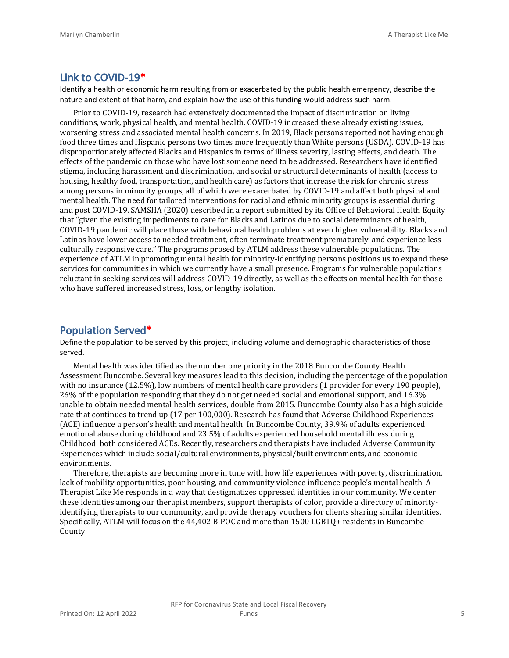#### **Link to COVID-19\***

Identify a health or economic harm resulting from or exacerbated by the public health emergency, describe the nature and extent of that harm, and explain how the use of this funding would address such harm.

Prior to COVID-19, research had extensively documented the impact of discrimination on living conditions, work, physical health, and mental health. COVID-19 increased these already existing issues, worsening stress and associated mental health concerns. In 2019, Black persons reported not having enough food three times and Hispanic persons two times more frequently than White persons (USDA). COVID-19 has disproportionately affected Blacks and Hispanics in terms of illness severity, lasting effects, and death. The effects of the pandemic on those who have lost someone need to be addressed. Researchers have identified stigma, including harassment and discrimination, and social or structural determinants of health (access to housing, healthy food, transportation, and health care) as factors that increase the risk for chronic stress among persons in minority groups, all of which were exacerbated by COVID-19 and affect both physical and mental health. The need for tailored interventions for racial and ethnic minority groups is essential during and post COVID-19. SAMSHA (2020) described in a report submitted by its Office of Behavioral Health Equity that "given the existing impediments to care for Blacks and Latinos due to social determinants of health, COVID-19 pandemic will place those with behavioral health problems at even higher vulnerability. Blacks and Latinos have lower access to needed treatment, often terminate treatment prematurely, and experience less culturally responsive care." The programs prosed by ATLM address these vulnerable populations. The experience of ATLM in promoting mental health for minority-identifying persons positions us to expand these services for communities in which we currently have a small presence. Programs for vulnerable populations reluctant in seeking services will address COVID-19 directly, as well as the effects on mental health for those who have suffered increased stress, loss, or lengthy isolation.

#### **Population Served\***

Define the population to be served by this project, including volume and demographic characteristics of those served.

Mental health was identified as the number one priority in the 2018 Buncombe County Health Assessment Buncombe. Several key measures lead to this decision, including the percentage of the population with no insurance (12.5%), low numbers of mental health care providers (1 provider for every 190 people), 26% of the population responding that they do not get needed social and emotional support, and 16.3% unable to obtain needed mental health services, double from 2015. Buncombe County also has a high suicide rate that continues to trend up (17 per 100,000). Research has found that Adverse Childhood Experiences (ACE) influence a person's health and mental health. In Buncombe County, 39.9% of adults experienced emotional abuse during childhood and 23.5% of adults experienced household mental illness during Childhood, both considered ACEs. Recently, researchers and therapists have included Adverse Community Experiences which include social/cultural environments, physical/built environments, and economic environments.

Therefore, therapists are becoming more in tune with how life experiences with poverty, discrimination, lack of mobility opportunities, poor housing, and community violence influence people's mental health. A Therapist Like Me responds in a way that destigmatizes oppressed identities in our community. We center these identities among our therapist members, support therapists of color, provide a directory of minorityidentifying therapists to our community, and provide therapy vouchers for clients sharing similar identities. Specifically, ATLM will focus on the 44,402 BIPOC and more than 1500 LGBTQ+ residents in Buncombe County.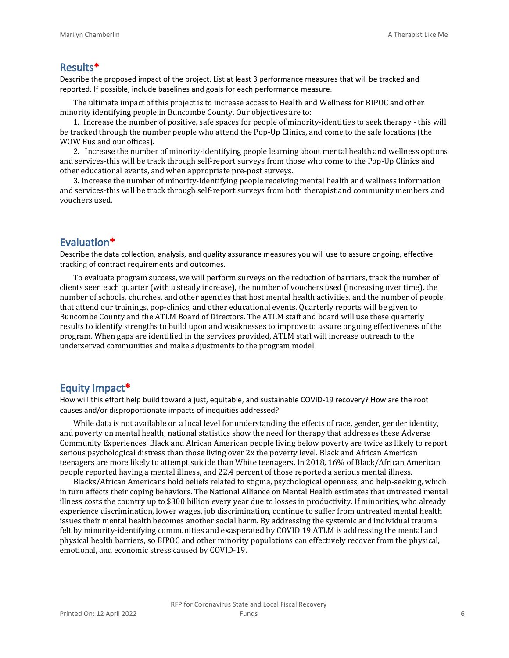#### **Results\***

Describe the proposed impact of the project. List at least 3 performance measures that will be tracked and reported. If possible, include baselines and goals for each performance measure.

The ultimate impact of this project is to increase access to Health and Wellness for BIPOC and other minority identifying people in Buncombe County. Our objectives are to:

1. Increase the number of positive, safe spaces for people of minority-identities to seek therapy - this will be tracked through the number people who attend the Pop-Up Clinics, and come to the safe locations (the WOW Bus and our offices).

2. Increase the number of minority-identifying people learning about mental health and wellness options and services-this will be track through self-report surveys from those who come to the Pop-Up Clinics and other educational events, and when appropriate pre-post surveys.

3. Increase the number of minority-identifying people receiving mental health and wellness information and services-this will be track through self-report surveys from both therapist and community members and vouchers used.

#### **Evaluation\***

Describe the data collection, analysis, and quality assurance measures you will use to assure ongoing, effective tracking of contract requirements and outcomes.

To evaluate program success, we will perform surveys on the reduction of barriers, track the number of clients seen each quarter (with a steady increase), the number of vouchers used (increasing over time), the number of schools, churches, and other agencies that host mental health activities, and the number of people that attend our trainings, pop-clinics, and other educational events. Quarterly reports will be given to Buncombe County and the ATLM Board of Directors. The ATLM staff and board will use these quarterly results to identify strengths to build upon and weaknesses to improve to assure ongoing effectiveness of the program. When gaps are identified in the services provided, ATLM staff will increase outreach to the underserved communities and make adjustments to the program model.

#### **Equity Impact\***

How will this effort help build toward a just, equitable, and sustainable COVID-19 recovery? How are the root causes and/or disproportionate impacts of inequities addressed?

While data is not available on a local level for understanding the effects of race, gender, gender identity, and poverty on mental health, national statistics show the need for therapy that addresses these Adverse Community Experiences. Black and African American people living below poverty are twice as likely to report serious psychological distress than those living over 2x the poverty level. Black and African American teenagers are more likely to attempt suicide than White teenagers. In 2018, 16% of Black/African American people reported having a mental illness, and 22.4 percent of those reported a serious mental illness.

Blacks/African Americans hold beliefs related to stigma, psychological openness, and help-seeking, which in turn affects their coping behaviors. The National Alliance on Mental Health estimates that untreated mental illness costs the country up to \$300 billion every year due to losses in productivity. If minorities, who already experience discrimination, lower wages, job discrimination, continue to suffer from untreated mental health issues their mental health becomes another social harm. By addressing the systemic and individual trauma felt by minority-identifying communities and exasperated by COVID 19 ATLM is addressing the mental and physical health barriers, so BIPOC and other minority populations can effectively recover from the physical, emotional, and economic stress caused by COVID-19.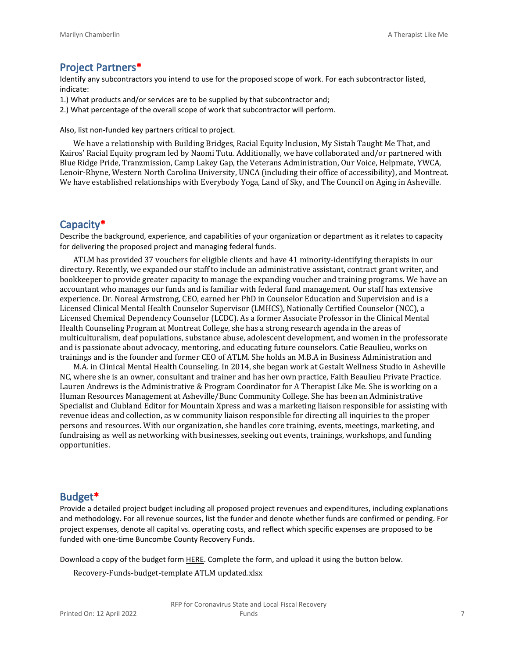#### **Project Partners\***

Identify any subcontractors you intend to use for the proposed scope of work. For each subcontractor listed, indicate:

- 1.) What products and/or services are to be supplied by that subcontractor and;
- 2.) What percentage of the overall scope of work that subcontractor will perform.

Also, list non-funded key partners critical to project.

We have a relationship with Building Bridges, Racial Equity Inclusion, My Sistah Taught Me That, and Kairos' Racial Equity program led by Naomi Tutu. Additionally, we have collaborated and/or partnered with Blue Ridge Pride, Tranzmission, Camp Lakey Gap, the Veterans Administration, Our Voice, Helpmate, YWCA, Lenoir-Rhyne, Western North Carolina University, UNCA (including their office of accessibility), and Montreat. We have established relationships with Everybody Yoga, Land of Sky, and The Council on Aging in Asheville.

#### **Capacity\***

Describe the background, experience, and capabilities of your organization or department as it relates to capacity for delivering the proposed project and managing federal funds.

ATLM has provided 37 vouchers for eligible clients and have 41 minority-identifying therapists in our directory. Recently, we expanded our staff to include an administrative assistant, contract grant writer, and bookkeeper to provide greater capacity to manage the expanding voucher and training programs. We have an accountant who manages our funds and is familiar with federal fund management. Our staff has extensive experience. Dr. Noreal Armstrong, CEO, earned her PhD in Counselor Education and Supervision and is a Licensed Clinical Mental Health Counselor Supervisor (LMHCS), Nationally Certified Counselor (NCC), a Licensed Chemical Dependency Counselor (LCDC). As a former Associate Professor in the Clinical Mental Health Counseling Program at Montreat College, she has a strong research agenda in the areas of multiculturalism, deaf populations, substance abuse, adolescent development, and women in the professorate and is passionate about advocacy, mentoring, and educating future counselors. Catie Beaulieu, works on trainings and is the founder and former CEO of ATLM. She holds an M.B.A in Business Administration and

M.A. in Clinical Mental Health Counseling. In 2014, she began work at Gestalt Wellness Studio in Asheville NC, where she is an owner, consultant and trainer and has her own practice, Faith Beaulieu Private Practice. Lauren Andrews is the Administrative & Program Coordinator for A Therapist Like Me. She is working on a Human Resources Management at Asheville/Bunc Community College. She has been an Administrative Specialist and Clubland Editor for Mountain Xpress and was a marketing liaison responsible for assisting with revenue ideas and collection, as w community liaison responsible for directing all inquiries to the proper persons and resources. With our organization, she handles core training, events, meetings, marketing, and fundraising as well as networking with businesses, seeking out events, trainings, workshops, and funding opportunities.

#### **Budget\***

Provide a detailed project budget including all proposed project revenues and expenditures, including explanations and methodology. For all revenue sources, list the funder and denote whether funds are confirmed or pending. For project expenses, denote all capital vs. operating costs, and reflect which specific expenses are proposed to be funded with one-time Buncombe County Recovery Funds.

Download a copy of the budget form [HERE](https://buncombecounty.org/common/community-investment/grants/early-childhood-education/Recovery-Funds-budget-template.xlsx). Complete the form, and upload it using the button below.

Recovery-Funds-budget-template ATLM updated.xlsx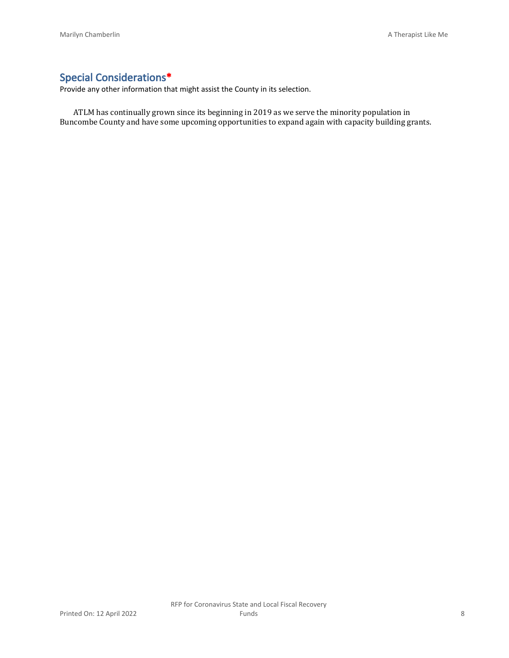## **Special Considerations\***

Provide any other information that might assist the County in its selection.

ATLM has continually grown since its beginning in 2019 as we serve the minority population in Buncombe County and have some upcoming opportunities to expand again with capacity building grants.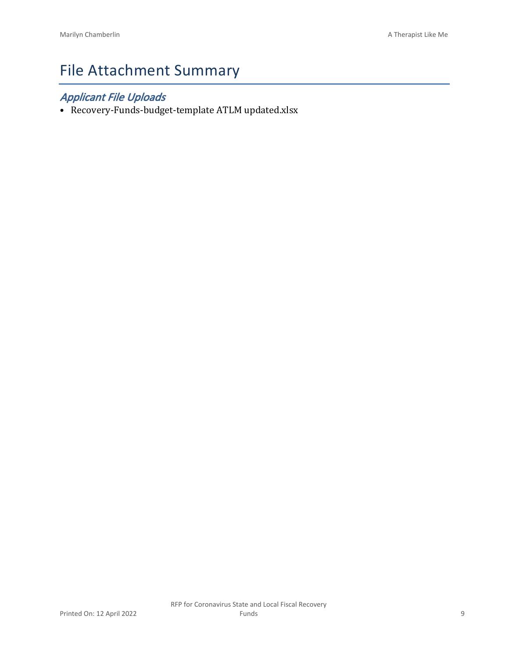# File Attachment Summary

## *Applicant File Uploads*

• Recovery-Funds-budget-template ATLM updated.xlsx